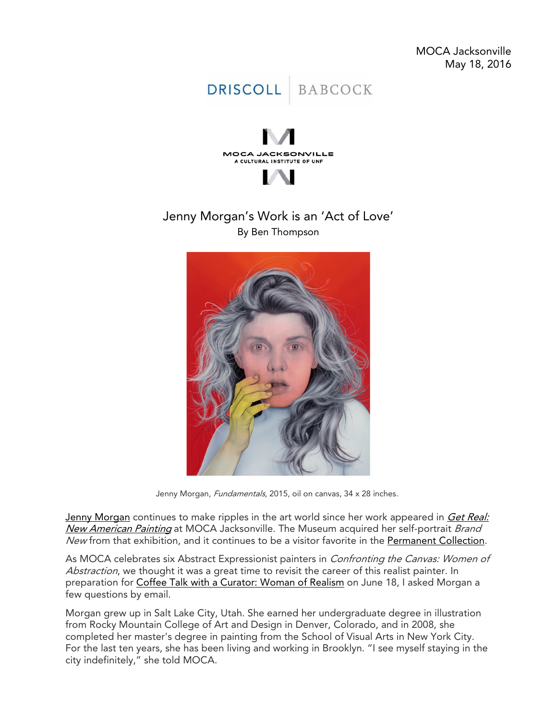



# Jenny Morgan's Work is an 'Act of Love' By Ben Thompson



Jenny Morgan, Fundamentals, 2015, oil on canvas, 34 x 28 inches.

Jenny [Morgan](http://mocajacksonville.unf.edu/artists/Jenny-Morgan/) continues to make ripples in the art world since her work appeared in Get Real: [New American Painting](http://mocajacksonville.unf.edu/exhibitions/featured/Get-Real/) at MOCA Jacksonville. The Museum acquired her self-portrait Brand New from that exhibition, and it continues to be a visitor favorite in the [Permanent Collection.](http://mocajacksonville.unf.edu/Permanent-Collection/)

As MOCA celebrates six Abstract Expressionist painters in *Confronting the Canvas: Women of* Abstraction, we thought it was a great time to revisit the career of this realist painter. In preparation for [Coffee Talk with a Curator: Woman of Realism](http://mocajacksonville.unf.edu/events/Coffee-Talk-with-a-Curator--Woman-of-Realism/) on June 18, I asked Morgan a few questions by email.

Morgan grew up in Salt Lake City, Utah. She earned her undergraduate degree in illustration from Rocky Mountain College of Art and Design in Denver, Colorado, and in 2008, she completed her master's degree in painting from the School of Visual Arts in New York City. For the last ten years, she has been living and working in Brooklyn. "I see myself staying in the city indefinitely," she told MOCA.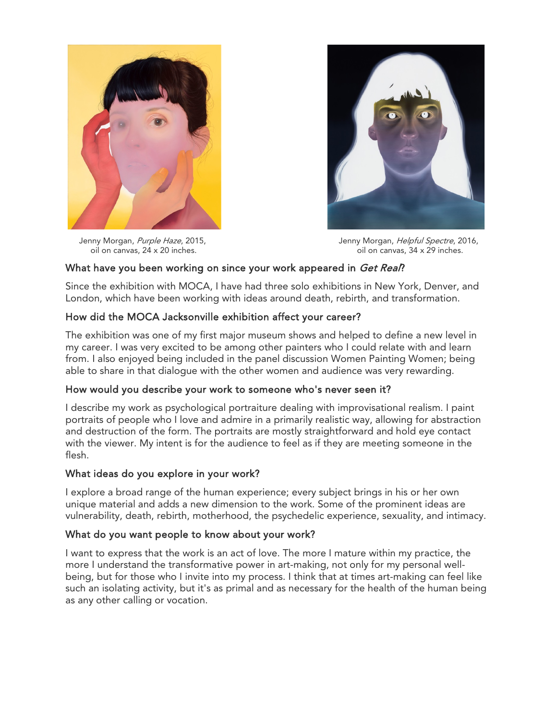

oil on canvas,  $24 \times 20$  inches.



Jenny Morgan, Purple Haze, 2015,<br>
oil on canvas, 24 x 20 inches.<br>
oil on canvas, 34 x 29 inches.<br>
oil on canvas, 34 x 29 inches.

# What have you been working on since your work appeared in Get Real?

Since the exhibition with MOCA, I have had three solo exhibitions in New York, Denver, and London, which have been working with ideas around death, rebirth, and transformation.

# How did the MOCA Jacksonville exhibition affect your career?

The exhibition was one of my first major museum shows and helped to define a new level in my career. I was very excited to be among other painters who I could relate with and learn from. I also enjoyed being included in the panel discussion Women Painting Women; being able to share in that dialogue with the other women and audience was very rewarding.

## How would you describe your work to someone who's never seen it?

I describe my work as psychological portraiture dealing with improvisational realism. I paint portraits of people who I love and admire in a primarily realistic way, allowing for abstraction and destruction of the form. The portraits are mostly straightforward and hold eye contact with the viewer. My intent is for the audience to feel as if they are meeting someone in the flesh.

## What ideas do you explore in your work?

I explore a broad range of the human experience; every subject brings in his or her own unique material and adds a new dimension to the work. Some of the prominent ideas are vulnerability, death, rebirth, motherhood, the psychedelic experience, sexuality, and intimacy.

## What do you want people to know about your work?

I want to express that the work is an act of love. The more I mature within my practice, the more I understand the transformative power in art-making, not only for my personal wellbeing, but for those who I invite into my process. I think that at times art-making can feel like such an isolating activity, but it's as primal and as necessary for the health of the human being as any other calling or vocation.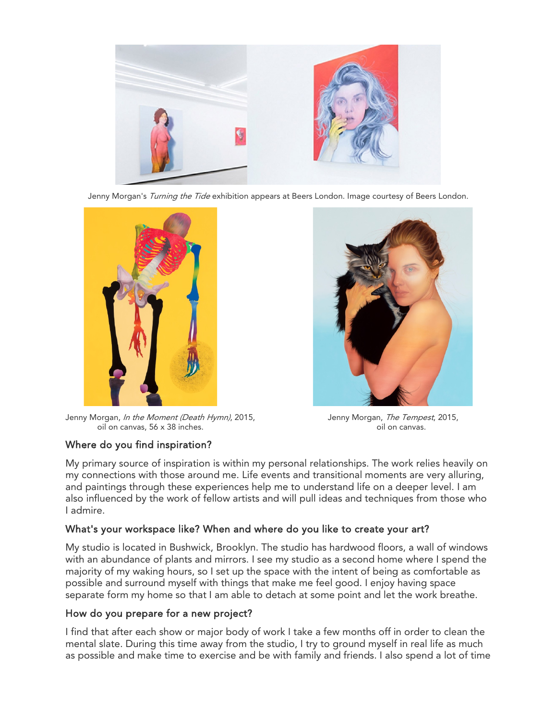

Jenny Morgan's Turning the Tide exhibition appears at Beers London. Image courtesy of Beers London.



Jenny Morgan, *In the Moment (Death Hymn)*, 2015, Jenny Morgan, *The Tempest*, 2015, oil on canvas, 56 x 38 inches. **only and constructs** of our canvas.



## Where do you find inspiration?

My primary source of inspiration is within my personal relationships. The work relies heavily on my connections with those around me. Life events and transitional moments are very alluring, and paintings through these experiences help me to understand life on a deeper level. I am also influenced by the work of fellow artists and will pull ideas and techniques from those who I admire.

## What's your workspace like? When and where do you like to create your art?

My studio is located in Bushwick, Brooklyn. The studio has hardwood floors, a wall of windows with an abundance of plants and mirrors. I see my studio as a second home where I spend the majority of my waking hours, so I set up the space with the intent of being as comfortable as possible and surround myself with things that make me feel good. I enjoy having space separate form my home so that I am able to detach at some point and let the work breathe.

## How do you prepare for a new project?

I find that after each show or major body of work I take a few months off in order to clean the mental slate. During this time away from the studio, I try to ground myself in real life as much as possible and make time to exercise and be with family and friends. I also spend a lot of time